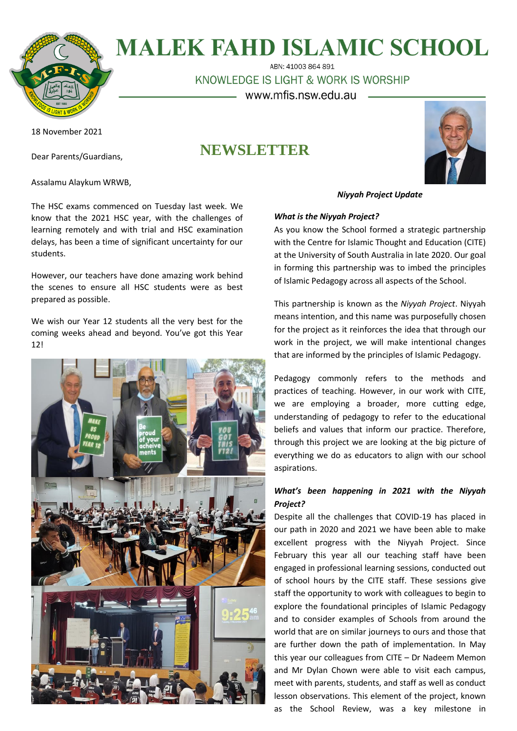

# **MALEK FAHD ISLAMIC SCHOOL**

ABN: 41003 864 891

KNOWLEDGE IS LIGHT & WORK IS WORSHIP

www.mfis.nsw.edu.au

**NEWSLETTER**

18 November 2021

Dear Parents/Guardians,

Assalamu Alaykum WRWB,

The HSC exams commenced on Tuesday last week. We know that the 2021 HSC year, with the challenges of learning remotely and with trial and HSC examination delays, has been a time of significant uncertainty for our students.

However, our teachers have done amazing work behind the scenes to ensure all HSC students were as best prepared as possible.

We wish our Year 12 students all the very best for the coming weeks ahead and beyond. You've got this Year 12!



# *Niyyah Project Update*

# *What is the Niyyah Project?*

As you know the School formed a strategic partnership with the Centre for Islamic Thought and Education (CITE) at the University of South Australia in late 2020. Our goal in forming this partnership was to imbed the principles of Islamic Pedagogy across all aspects of the School.

This partnership is known as the *Niyyah Project*. Niyyah means intention, and this name was purposefully chosen for the project as it reinforces the idea that through our work in the project, we will make intentional changes that are informed by the principles of Islamic Pedagogy.

Pedagogy commonly refers to the methods and practices of teaching. However, in our work with CITE, we are employing a broader, more cutting edge, understanding of pedagogy to refer to the educational beliefs and values that inform our practice. Therefore, through this project we are looking at the big picture of everything we do as educators to align with our school aspirations.

# *What's been happening in 2021 with the Niyyah Project?*

Despite all the challenges that COVID-19 has placed in our path in 2020 and 2021 we have been able to make excellent progress with the Niyyah Project. Since February this year all our teaching staff have been engaged in professional learning sessions, conducted out of school hours by the CITE staff. These sessions give staff the opportunity to work with colleagues to begin to explore the foundational principles of Islamic Pedagogy and to consider examples of Schools from around the world that are on similar journeys to ours and those that are further down the path of implementation. In May this year our colleagues from CITE – Dr Nadeem Memon and Mr Dylan Chown were able to visit each campus, meet with parents, students, and staff as well as conduct lesson observations. This element of the project, known as the School Review, was a key milestone in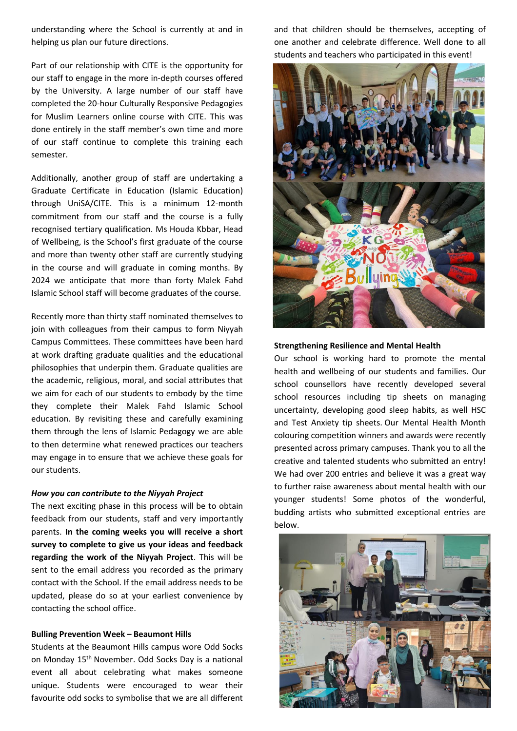understanding where the School is currently at and in helping us plan our future directions.

Part of our relationship with CITE is the opportunity for our staff to engage in the more in-depth courses offered by the University. A large number of our staff have completed the 20-hour Culturally Responsive Pedagogies for Muslim Learners online course with CITE. This was done entirely in the staff member's own time and more of our staff continue to complete this training each semester.

Additionally, another group of staff are undertaking a Graduate Certificate in Education (Islamic Education) through UniSA/CITE. This is a minimum 12-month commitment from our staff and the course is a fully recognised tertiary qualification. Ms Houda Kbbar, Head of Wellbeing, is the School's first graduate of the course and more than twenty other staff are currently studying in the course and will graduate in coming months. By 2024 we anticipate that more than forty Malek Fahd Islamic School staff will become graduates of the course.

Recently more than thirty staff nominated themselves to join with colleagues from their campus to form Niyyah Campus Committees. These committees have been hard at work drafting graduate qualities and the educational philosophies that underpin them. Graduate qualities are the academic, religious, moral, and social attributes that we aim for each of our students to embody by the time they complete their Malek Fahd Islamic School education. By revisiting these and carefully examining them through the lens of Islamic Pedagogy we are able to then determine what renewed practices our teachers may engage in to ensure that we achieve these goals for our students.

#### *How you can contribute to the Niyyah Project*

The next exciting phase in this process will be to obtain feedback from our students, staff and very importantly parents. **In the coming weeks you will receive a short survey to complete to give us your ideas and feedback regarding the work of the Niyyah Project**. This will be sent to the email address you recorded as the primary contact with the School. If the email address needs to be updated, please do so at your earliest convenience by contacting the school office.

#### **Bulling Prevention Week – Beaumont Hills**

Students at the Beaumont Hills campus wore Odd Socks on Monday 15<sup>th</sup> November. Odd Socks Day is a national event all about celebrating what makes someone unique. Students were encouraged to wear their favourite odd socks to symbolise that we are all different and that children should be themselves, accepting of one another and celebrate difference. Well done to all students and teachers who participated in this event!



#### **Strengthening Resilience and Mental Health**

Our school is working hard to promote the mental health and wellbeing of our students and families. Our school counsellors have recently developed several school resources including tip sheets on managing uncertainty, developing good sleep habits, as well HSC and Test Anxiety tip sheets. Our Mental Health Month colouring competition winners and awards were recently presented across primary campuses. Thank you to all the creative and talented students who submitted an entry! We had over 200 entries and believe it was a great way to further raise awareness about mental health with our younger students! Some photos of the wonderful, budding artists who submitted exceptional entries are below.